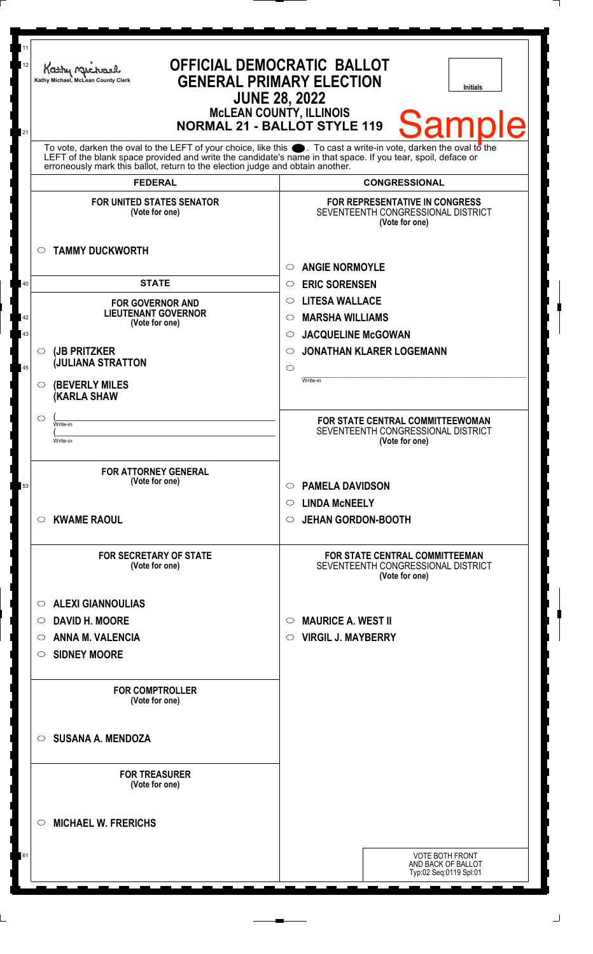| 11<br>12 | Kathy Me<br>Kathy Michael, McLean County Clerk                                                                                                                                                                                                                                                                               | <b>OFFICIAL DEMOCRATIC BALLOT</b><br><b>GENERAL PRIMARY ELECTION</b><br><b>Initials</b><br><b>JUNE 28, 2022</b> |
|----------|------------------------------------------------------------------------------------------------------------------------------------------------------------------------------------------------------------------------------------------------------------------------------------------------------------------------------|-----------------------------------------------------------------------------------------------------------------|
| 21       | <b>McLEAN COUNTY, ILLINOIS</b><br><b>Sample</b><br><b>NORMAL 21 - BALLOT STYLE 119</b>                                                                                                                                                                                                                                       |                                                                                                                 |
|          | To vote, darken the oval to the LEFT of your choice, like this $\bullet$ . To cast a write-in vote, darken the oval to the<br>LEFT of the blank space provided and write the candidate's name in that space. If you tear, spoil, deface or<br>erroneously mark this ballot, return to the election judge and obtain another. |                                                                                                                 |
|          | <b>FEDERAL</b>                                                                                                                                                                                                                                                                                                               | <b>CONGRESSIONAL</b>                                                                                            |
|          | <b>FOR UNITED STATES SENATOR</b><br>(Vote for one)                                                                                                                                                                                                                                                                           | <b>FOR REPRESENTATIVE IN CONGRESS</b><br>SEVENTEENTH CONGRESSIONAL DISTRICT<br>(Vote for one)                   |
|          | <b>TAMMY DUCKWORTH</b><br>$\circ$                                                                                                                                                                                                                                                                                            | <b>ANGIE NORMOYLE</b><br>◯                                                                                      |
| 40       | <b>STATE</b>                                                                                                                                                                                                                                                                                                                 | <b>ERIC SORENSEN</b><br>$\circ$                                                                                 |
|          | <b>FOR GOVERNOR AND</b>                                                                                                                                                                                                                                                                                                      | <b>LITESA WALLACE</b><br>$\circ$                                                                                |
| 42       | <b>LIEUTENANT GOVERNOR</b>                                                                                                                                                                                                                                                                                                   | <b>MARSHA WILLIAMS</b><br>◯                                                                                     |
| 43       | (Vote for one)                                                                                                                                                                                                                                                                                                               | <b>JACQUELINE McGOWAN</b><br>$\circ$                                                                            |
|          | (JB PRITZKER<br>$\circ$                                                                                                                                                                                                                                                                                                      | <b>JONATHAN KLARER LOGEMANN</b><br>◯                                                                            |
| 45       | <b>JULIANA STRATTON</b>                                                                                                                                                                                                                                                                                                      | $\circ$                                                                                                         |
|          | <b>(BEVERLY MILES)</b><br>$\circ$<br><b>KARLA SHAW</b>                                                                                                                                                                                                                                                                       | Write-in                                                                                                        |
|          | $\circlearrowright$<br>Write-in                                                                                                                                                                                                                                                                                              | FOR STATE CENTRAL COMMITTEEWOMAN                                                                                |
|          | Write-in                                                                                                                                                                                                                                                                                                                     | SEVENTEENTH CONGRESSIONAL DISTRICT<br>(Vote for one)                                                            |
|          |                                                                                                                                                                                                                                                                                                                              |                                                                                                                 |
|          | <b>FOR ATTORNEY GENERAL</b>                                                                                                                                                                                                                                                                                                  |                                                                                                                 |
| 53       | (Vote for one)                                                                                                                                                                                                                                                                                                               | <b>PAMELA DAVIDSON</b><br>$\circ$                                                                               |
|          |                                                                                                                                                                                                                                                                                                                              | <b>LINDA MCNEELY</b><br>$\circ$                                                                                 |
|          | <b>KWAME RAOUL</b><br>$\circ$                                                                                                                                                                                                                                                                                                | <b>JEHAN GORDON-BOOTH</b><br>$\circ$                                                                            |
|          |                                                                                                                                                                                                                                                                                                                              |                                                                                                                 |
|          | <b>FOR SECRETARY OF STATE</b><br>(Vote for one)                                                                                                                                                                                                                                                                              | <b>FOR STATE CENTRAL COMMITTEEMAN</b><br>SEVENTEENTH CONGRESSIONAL DISTRICT<br>(Vote for one)                   |
|          | <b>ALEXI GIANNOULIAS</b><br>$\circ$                                                                                                                                                                                                                                                                                          |                                                                                                                 |
|          | <b>DAVID H. MOORE</b><br>$\circ$                                                                                                                                                                                                                                                                                             | <b>MAURICE A. WEST II</b><br>$\circlearrowright$                                                                |
|          | <b>ANNA M. VALENCIA</b><br>$\circ$                                                                                                                                                                                                                                                                                           | <b>VIRGIL J. MAYBERRY</b><br>$\circ$                                                                            |
|          | <b>SIDNEY MOORE</b><br>$\circ$                                                                                                                                                                                                                                                                                               |                                                                                                                 |
|          |                                                                                                                                                                                                                                                                                                                              |                                                                                                                 |
|          | <b>FOR COMPTROLLER</b><br>(Vote for one)                                                                                                                                                                                                                                                                                     |                                                                                                                 |
|          | <b>SUSANA A. MENDOZA</b><br>$\circ$                                                                                                                                                                                                                                                                                          |                                                                                                                 |
|          | <b>FOR TREASURER</b><br>(Vote for one)                                                                                                                                                                                                                                                                                       |                                                                                                                 |
|          | <b>MICHAEL W. FRERICHS</b><br>$\circ$                                                                                                                                                                                                                                                                                        |                                                                                                                 |
| 61       |                                                                                                                                                                                                                                                                                                                              | <b>VOTE BOTH FRONT</b><br>AND BACK OF BALLOT                                                                    |
|          |                                                                                                                                                                                                                                                                                                                              | Typ:02 Seq:0119 Spl:01                                                                                          |
|          |                                                                                                                                                                                                                                                                                                                              |                                                                                                                 |